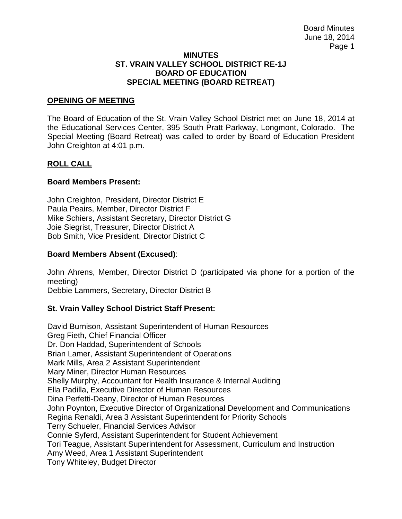#### **MINUTES ST. VRAIN VALLEY SCHOOL DISTRICT RE-1J BOARD OF EDUCATION SPECIAL MEETING (BOARD RETREAT)**

### **OPENING OF MEETING**

The Board of Education of the St. Vrain Valley School District met on June 18, 2014 at the Educational Services Center, 395 South Pratt Parkway, Longmont, Colorado. The Special Meeting (Board Retreat) was called to order by Board of Education President John Creighton at 4:01 p.m.

### **ROLL CALL**

### **Board Members Present:**

John Creighton, President, Director District E Paula Peairs, Member, Director District F Mike Schiers, Assistant Secretary, Director District G Joie Siegrist, Treasurer, Director District A Bob Smith, Vice President, Director District C

### **Board Members Absent (Excused)**:

John Ahrens, Member, Director District D (participated via phone for a portion of the meeting)

Debbie Lammers, Secretary, Director District B

## **St. Vrain Valley School District Staff Present:**

David Burnison, Assistant Superintendent of Human Resources Greg Fieth, Chief Financial Officer Dr. Don Haddad, Superintendent of Schools Brian Lamer, Assistant Superintendent of Operations Mark Mills, Area 2 Assistant Superintendent Mary Miner, Director Human Resources Shelly Murphy, Accountant for Health Insurance & Internal Auditing Ella Padilla, Executive Director of Human Resources Dina Perfetti-Deany, Director of Human Resources John Poynton, Executive Director of Organizational Development and Communications Regina Renaldi, Area 3 Assistant Superintendent for Priority Schools Terry Schueler, Financial Services Advisor Connie Syferd, Assistant Superintendent for Student Achievement Tori Teague, Assistant Superintendent for Assessment, Curriculum and Instruction Amy Weed, Area 1 Assistant Superintendent Tony Whiteley, Budget Director